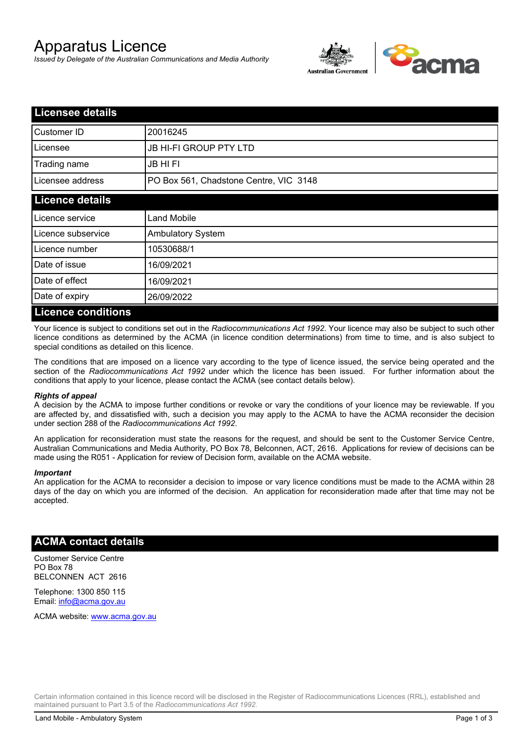# Apparatus Licence

*Issued by Delegate of the Australian Communications and Media Authority*



| <b>Licensee details</b>   |                                        |  |
|---------------------------|----------------------------------------|--|
| Customer ID               | 20016245                               |  |
| Licensee                  | <b>JB HI-FI GROUP PTY LTD</b>          |  |
| Trading name              | <b>JB HIFI</b>                         |  |
| Licensee address          | PO Box 561, Chadstone Centre, VIC 3148 |  |
| <b>Licence details</b>    |                                        |  |
| Licence service           | <b>Land Mobile</b>                     |  |
| Licence subservice        | <b>Ambulatory System</b>               |  |
| Licence number            | 10530688/1                             |  |
| Date of issue             | 16/09/2021                             |  |
| Date of effect            | 16/09/2021                             |  |
| Date of expiry            | 26/09/2022                             |  |
| <b>Licence conditions</b> |                                        |  |

Your licence is subject to conditions set out in the *Radiocommunications Act 1992*. Your licence may also be subject to such other licence conditions as determined by the ACMA (in licence condition determinations) from time to time, and is also subject to special conditions as detailed on this licence.

The conditions that are imposed on a licence vary according to the type of licence issued, the service being operated and the section of the *Radiocommunications Act 1992* under which the licence has been issued. For further information about the conditions that apply to your licence, please contact the ACMA (see contact details below).

#### *Rights of appeal*

A decision by the ACMA to impose further conditions or revoke or vary the conditions of your licence may be reviewable. If you are affected by, and dissatisfied with, such a decision you may apply to the ACMA to have the ACMA reconsider the decision under section 288 of the *Radiocommunications Act 1992*.

An application for reconsideration must state the reasons for the request, and should be sent to the Customer Service Centre, Australian Communications and Media Authority, PO Box 78, Belconnen, ACT, 2616. Applications for review of decisions can be made using the R051 - Application for review of Decision form, available on the ACMA website.

#### *Important*

An application for the ACMA to reconsider a decision to impose or vary licence conditions must be made to the ACMA within 28 days of the day on which you are informed of the decision. An application for reconsideration made after that time may not be accepted.

#### **ACMA contact details**

Customer Service Centre PO Box 78 BELCONNEN ACT 2616

Telephone: 1300 850 115 Email: info@acma.gov.au

ACMA website: www.acma.gov.au

Certain information contained in this licence record will be disclosed in the Register of Radiocommunications Licences (RRL), established and maintained pursuant to Part 3.5 of the *Radiocommunications Act 1992.*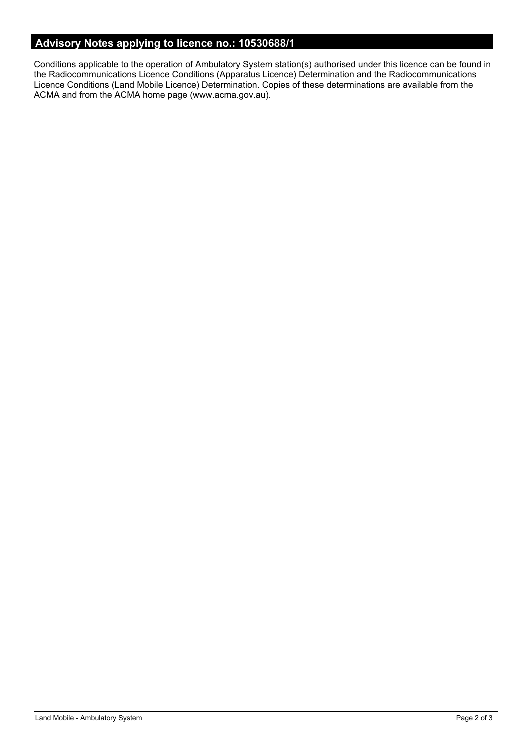## **Advisory Notes applying to licence no.: 10530688/1**

Conditions applicable to the operation of Ambulatory System station(s) authorised under this licence can be found in the Radiocommunications Licence Conditions (Apparatus Licence) Determination and the Radiocommunications Licence Conditions (Land Mobile Licence) Determination. Copies of these determinations are available from the ACMA and from the ACMA home page (www.acma.gov.au).